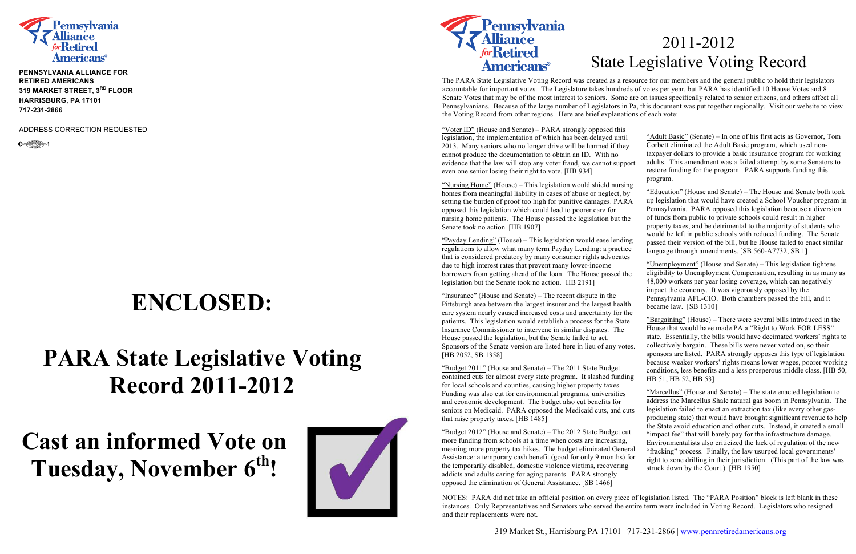

**PENNSYLVANIA ALLIANCE FOR RETIRED AMERICANS 319 MARKET STREET, 3RD FLOOR HARRISBURG, PA 17101 717-231-2866** 

ADDRESS CORRECTION REQUESTED



## **ENCLOSED:**

## **PARA State Legislative Voting Record 2011-2012**

## **Cast an informed Vote on Tuesday, November 6th!**





## 2011-2012 State Legislative Voting Record

The PARA State Legislative Voting Record was created as a resource for our members and the general public to hold their legislators accountable for important votes. The Legislature takes hundreds of votes per year, but PARA has identified 10 House Votes and 8 Senate Votes that may be of the most interest to seniors. Some are on issues specifically related to senior citizens, and others affect all Pennsylvanians. Because of the large number of Legislators in Pa, this document was put together regionally. Visit our website to view the Voting Record from other regions. Here are brief explanations of each vote:

"Nursing Home" (House) – This legislation would shield nursing homes from meaningful liability in cases of abuse or neglect, by setting the burden of proof too high for punitive damages. PAR opposed this legislation which could lead to poorer care for nursing home patients. The House passed the legislation but the Senate took no action. [HB 1907]

"Payday Lending" (House) – This legislation would ease lendin regulations to allow what many term Payday Lending: a practice that is considered predatory by many consumer rights advocates due to high interest rates that prevent many lower-income borrowers from getting ahead of the loan. The House passed the legislation but the Senate took no action. [HB 2191]

"Insurance" (House and Senate) – The recent dispute in the Pittsburgh area between the largest insurer and the largest health care system nearly caused increased costs and uncertainty for the patients. This legislation would establish a process for the State Insurance Commissioner to intervene in similar disputes. The House passed the legislation, but the Senate failed to act. Sponsors of the Senate version are listed here in lieu of any vote [HB 2052, SB 1358]

"Voter ID" (House and Senate) – PARA strongly opposed this legislation, the implementation of which has been delayed until 2013. Many seniors who no longer drive will be harmed if they cannot produce the documentation to obtain an ID. With no evidence that the law will stop any voter fraud, we cannot support even one senior losing their right to vote. [HB 934]

"Budget  $2012$ " (House and Senate) – The  $2012$  State Budget cu more funding from schools at a time when costs are increasing, meaning more property tax hikes. The budget eliminated General Assistance: a temporary cash benefit (good for only 9 months) for the temporarily disabled, domestic violence victims, recovering addicts and adults caring for aging parents. PARA strongly opposed the elimination of General Assistance. [SB 1466]

"Budget 2011" (House and Senate) – The 2011 State Budget contained cuts for almost every state program. It slashed funding for local schools and counties, causing higher property taxes. Funding was also cut for environmental programs, universities and economic development. The budget also cut benefits for seniors on Medicaid. PARA opposed the Medicaid cuts, and cuts that raise property taxes. [HB 1485]

| $\mathbf{r}$<br>$\mathsf{D} \mathsf{r}$ t | "Adult Basic" (Senate) – In one of his first acts as Governor, Tom<br>Corbett eliminated the Adult Basic program, which used non-<br>taxpayer dollars to provide a basic insurance program for working<br>adults. This amendment was a failed attempt by some Senators to<br>restore funding for the program. PARA supports funding this<br>program.                                                                                                                                                                                                                                                                                                                                             |
|-------------------------------------------|--------------------------------------------------------------------------------------------------------------------------------------------------------------------------------------------------------------------------------------------------------------------------------------------------------------------------------------------------------------------------------------------------------------------------------------------------------------------------------------------------------------------------------------------------------------------------------------------------------------------------------------------------------------------------------------------------|
| ıg<br>A                                   | "Education" (House and Senate) – The House and Senate both took<br>up legislation that would have created a School Voucher program in<br>Pennsylvania. PARA opposed this legislation because a diversion<br>of funds from public to private schools could result in higher                                                                                                                                                                                                                                                                                                                                                                                                                       |
| e<br>lg<br>e<br>$\mathbf{S}$              | property taxes, and be detrimental to the majority of students who<br>would be left in public schools with reduced funding. The Senate<br>passed their version of the bill, but he House failed to enact similar<br>language through amendments. [SB 560-A7732, SB 1]                                                                                                                                                                                                                                                                                                                                                                                                                            |
| e<br>h                                    | "Unemployment" (House and Senate) – This legislation tightens<br>eligibility to Unemployment Compensation, resulting in as many as<br>48,000 workers per year losing coverage, which can negatively<br>impact the economy. It was vigorously opposed by the<br>Pennsylvania AFL-CIO. Both chambers passed the bill, and it<br>became law. [SB 1310]                                                                                                                                                                                                                                                                                                                                              |
| ιe<br>$\ddot{\phantom{0}}$<br>ЭS.<br>ıg   | "Bargaining" (House) – There were several bills introduced in the<br>House that would have made PA a "Right to Work FOR LESS"<br>state. Essentially, the bills would have decimated workers' rights to<br>collectively bargain. These bills were never voted on, so their<br>sponsors are listed. PARA strongly opposes this type of legislation<br>because weaker workers' rights means lower wages, poorer working<br>conditions, less benefits and a less prosperous middle class. [HB 50,<br>HB 51, HB 52, HB 53]                                                                                                                                                                            |
| ıts<br>t<br>ral<br>for                    | "Marcellus" (House and Senate) – The state enacted legislation to<br>address the Marcellus Shale natural gas boom in Pennsylvania. The<br>legislation failed to enact an extraction tax (like every other gas-<br>producing state) that would have brought significant revenue to help<br>the State avoid education and other cuts. Instead, it created a small<br>"impact fee" that will barely pay for the infrastructure damage.<br>Environmentalists also criticized the lack of regulation of the new<br>"fracking" process. Finally, the law usurped local governments'<br>right to zone drilling in their jurisdiction. (This part of the law was<br>struck down by the Court.) [HB 1950] |
|                                           |                                                                                                                                                                                                                                                                                                                                                                                                                                                                                                                                                                                                                                                                                                  |

NOTES: PARA did not take an official position on every piece of legislation listed. The "PARA Position" block is left blank in these instances. Only Representatives and Senators who served the entire term were included in Voting Record. Legislators who resigned and their replacements were not.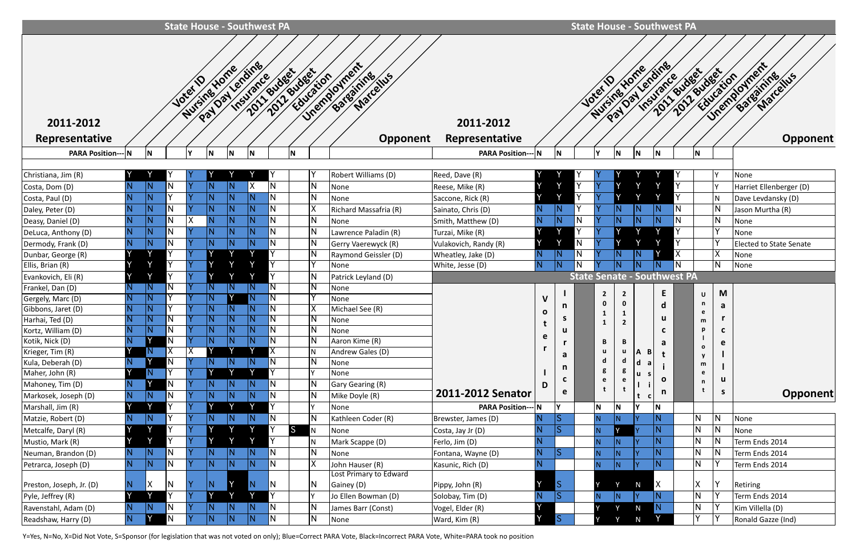|                                       | <b>State House - Southwest PA</b> |              |                         |                             |                         |                         |                         |              |                         |                    |                         |                                                     |                             |   |                         |                      |                        |                |                 |              | <b>State House - Southwest PA</b>  |                         |              |                                                    |
|---------------------------------------|-----------------------------------|--------------|-------------------------|-----------------------------|-------------------------|-------------------------|-------------------------|--------------|-------------------------|--------------------|-------------------------|-----------------------------------------------------|-----------------------------|---|-------------------------|----------------------|------------------------|----------------|-----------------|--------------|------------------------------------|-------------------------|--------------|----------------------------------------------------|
| 2011-2012<br>Representative           |                                   |              |                         | Nursing Yong<br><b>Vote</b> | Paylandine              |                         | Insurance               |              |                         | 2011.81/dect_dect_ | Education               | Unemployment<br>Bateatring<br>Marcellus<br>Opponent | 2011-2012<br>Representative |   |                         |                      | Nursines Home<br>Jotet |                | Pay Day Lending | Insurance    | 2011 Budget<br>2012 sudeetion      |                         |              | Unemployment<br>Bateatring<br>Marchius<br>Opponent |
| <b>PARA Position--</b>                |                                   | N            |                         |                             | N                       | N                       |                         |              |                         |                    |                         |                                                     | <b>PARA Position--- N</b>   |   | ΙN                      |                      |                        | ΙN             | ΙN              | ١N           |                                    | N                       |              |                                                    |
| Christiana, Jim (R)                   |                                   |              |                         |                             |                         |                         |                         |              |                         |                    |                         | Robert Williams (D)                                 | Reed, Dave (R)              |   |                         |                      |                        |                |                 |              |                                    |                         |              | None                                               |
| Costa, Dom (D)                        |                                   |              |                         |                             |                         |                         |                         |              |                         |                    |                         | None                                                | Reese, Mike (R)             |   | $\checkmark$            |                      |                        |                |                 |              |                                    |                         |              | Harriet Ellenberger (D)                            |
| Costa, Paul (D)                       |                                   |              |                         |                             |                         |                         |                         |              |                         |                    |                         | None                                                | Saccone, Rick (R)           |   |                         | Y<br>١v              |                        |                |                 |              |                                    |                         |              | Dave Levdansky (D)                                 |
| Daley, Peter (D)                      | N                                 |              |                         |                             |                         |                         |                         |              |                         |                    |                         | Richard Massafria (R)                               | Sainato, Chris (D)          |   |                         |                      |                        |                |                 | $\mathsf N$  |                                    |                         |              | Jason Murtha (R)                                   |
| Deasy, Daniel (D)                     |                                   |              |                         |                             |                         |                         |                         |              | N                       |                    | N                       | None                                                | Smith, Matthew (D)          |   |                         | N                    |                        |                |                 |              |                                    |                         |              | None                                               |
| DeLuca, Anthony (D)                   | $\overline{\mathsf{N}}$           |              |                         |                             |                         |                         |                         |              | N                       |                    | N                       | Lawrence Paladin (R)                                | Turzai, Mike (R)            |   | $\checkmark$            |                      |                        |                |                 |              |                                    |                         |              | None                                               |
| Dermody, Frank (D)                    | $\overline{\mathsf{N}}$           |              |                         |                             |                         |                         |                         |              |                         |                    |                         | Gerry Vaerewyck (R)                                 | Vulakovich, Randy (R)       |   |                         | $\overline{N}$       |                        |                |                 |              |                                    |                         |              | Elected to State Senate                            |
| Dunbar, George (R)                    |                                   | $\checkmark$ |                         |                             |                         | $\checkmark$            |                         |              |                         |                    |                         | Raymond Geissler (D)                                | Wheatley, Jake (D)          |   |                         | $\overline{N}$<br>ΙN |                        |                |                 |              |                                    |                         |              | None                                               |
| Ellis, Brian (R)                      |                                   | V            | v                       |                             |                         | $\checkmark$            |                         | $\vee$       |                         |                    |                         | None                                                | White, Jesse (D)            |   |                         |                      |                        |                |                 |              |                                    |                         |              | None                                               |
| Evankovich, Eli (R)                   |                                   |              |                         |                             |                         |                         |                         |              | N                       |                    |                         | Patrick Leyland (D)                                 |                             |   |                         |                      |                        |                |                 |              | <b>State Senate - Southwest PA</b> |                         |              |                                                    |
| Frankel, Dan (D)                      |                                   | N.           |                         |                             |                         | $\overline{\mathsf{N}}$ |                         |              |                         |                    |                         | None                                                |                             |   |                         |                      | $\overline{2}$         | $\overline{2}$ |                 | E            |                                    | U                       | M            |                                                    |
| Gergely, Marc (D)                     | N                                 |              |                         |                             |                         |                         |                         |              | N                       |                    |                         | None<br>Michael See (R)                             |                             |   | n                       |                      | 0                      |                |                 |              |                                    | n                       | a            |                                                    |
| Gibbons, Jaret (D)<br>Harhai, Ted (D) |                                   |              |                         |                             |                         |                         |                         |              |                         |                    |                         | None                                                |                             |   | <b>S</b>                |                      | 1                      |                |                 | u            |                                    | e                       |              |                                                    |
| Kortz, William (D)                    | $\overline{\mathbf{M}}$<br>ΠУ     | TNL.         | $\overline{\mathsf{N}}$ | lv.                         | $\overline{\mathsf{N}}$ | $\overline{\mathsf{N}}$ | $\overline{\mathsf{N}}$ |              | $\overline{\mathsf{N}}$ |                    | $\overline{\mathsf{N}}$ | None                                                |                             |   |                         |                      | 1                      | $\mathbf{2}$   |                 | U            |                                    | m                       | C            |                                                    |
| Kotik, Nick (D)                       |                                   |              |                         |                             | N                       | $\overline{N}$          | N                       |              | $\overline{\mathsf{N}}$ |                    | $\overline{N}$          | Aaron Kime (R)                                      |                             | e |                         |                      | B                      | B              |                 |              |                                    |                         |              |                                                    |
| Krieger, Tim (R)                      |                                   | $\mathsf N$  | Χ                       | ΙX                          |                         |                         |                         |              | $\overline{\chi}$       |                    |                         | Andrew Gales (D)                                    |                             |   |                         |                      | u                      | u              | ΙA.<br>в        | a            |                                    | $\mathbf{o}$            | e            |                                                    |
| Kula, Deberah (D)                     |                                   |              |                         |                             |                         | IN.                     |                         |              | N                       |                    | N.                      | None                                                |                             |   | a                       |                      | d                      | d              | d               |              |                                    | y<br>m                  |              |                                                    |
| Maher, John (R)                       |                                   | N,           |                         |                             |                         |                         |                         |              |                         |                    |                         | None                                                |                             |   | n.                      |                      | g                      | g              | u               |              |                                    | e                       |              |                                                    |
| Mahoney, Tim (D)                      | N                                 |              | $\overline{\mathsf{N}}$ |                             | $\overline{\mathsf{N}}$ | $\overline{\mathsf{N}}$ |                         | IN.          | N                       |                    | 'N                      | Gary Gearing (R)                                    |                             | D |                         |                      | e                      | e              |                 | O            |                                    | n                       | u            |                                                    |
| Markosek, Joseph (D)                  | N.                                | $\mathsf N$  |                         |                             |                         | $\overline{\mathsf{N}}$ |                         | IN.          | N                       |                    |                         | Mike Doyle (R)                                      | 2011-2012 Senator           |   | e                       |                      |                        |                |                 | $\mathsf{n}$ |                                    | t                       | $\mathsf{S}$ | <b>Opponent</b>                                    |
| Marshall, Jim (R)                     |                                   | <b>V</b>     |                         |                             |                         | $\checkmark$            |                         |              |                         |                    |                         | None                                                | <b>PARA Position--- N</b>   |   | l۷                      |                      | N                      | N              | lv              | N            |                                    |                         |              |                                                    |
| Matzie, Robert (D)                    | $\mathsf N$                       | N.           |                         |                             | $\overline{\mathsf{N}}$ | IN.                     |                         | N            | N                       |                    | N                       | Kathleen Coder (R)                                  | Brewster, James (D)         |   |                         |                      |                        |                |                 | N            |                                    | N                       |              | None                                               |
| Metcalfe, Daryl (R)                   |                                   |              |                         |                             |                         |                         |                         |              |                         | S                  | N                       | None                                                | Costa, Jay Jr (D)           |   | <b>IS</b>               |                      | N.                     |                |                 |              |                                    | IN.                     |              | None                                               |
| Mustio, Mark (R)                      |                                   | Y            |                         |                             |                         | $\checkmark$            |                         | $\checkmark$ | Y                       |                    |                         | Mark Scappe (D)                                     | Ferlo, Jim (D)              |   |                         |                      | N.                     |                |                 |              |                                    | $\overline{\mathsf{N}}$ |              | Term Ends 2014                                     |
| Neuman, Brandon (D)                   | N.                                | IN.          | IN.                     |                             | N)                      | IN.                     |                         | N            | IN.                     |                    | N                       | None                                                | Fontana, Wayne (D)          |   | $\overline{\mathsf{S}}$ |                      | N.                     | IN.            |                 |              |                                    | IN.                     |              | Term Ends 2014                                     |
| Petrarca, Joseph (D)                  | N.                                | N.           | IN.                     |                             | $\overline{\mathsf{N}}$ | IN.                     |                         | N            | N.                      |                    | X                       | John Hauser (R)                                     | Kasunic, Rich (D)           |   |                         |                      | N.                     | N              |                 | N            |                                    | N                       |              | Term Ends 2014                                     |
| Preston, Joseph, Jr. (D)              | IN.                               | X            | IN.                     |                             | $\mathsf N$             |                         |                         | N            | IN.                     |                    | IN.                     | Lost Primary to Edward<br>Gainey (D)                | Pippy, John (R)             |   | $\overline{\mathbf{S}}$ |                      |                        |                | N               | X            |                                    | X                       |              | Retiring                                           |
| Pyle, Jeffrey (R)                     |                                   |              |                         |                             | $\checkmark$            |                         |                         |              |                         |                    |                         | Jo Ellen Bowman (D)                                 | Solobay, Tim (D)            |   | S                       |                      | N.                     | N              | I۷              |              |                                    | $\overline{\mathsf{N}}$ |              | Term Ends 2014                                     |
| Ravenstahl, Adam (D)                  | N                                 | IN.          | IN                      |                             | IN.                     | IN.                     |                         | N            | IN.                     |                    | N                       | James Barr (Const)                                  | Vogel, Elder (R)            |   |                         |                      |                        |                | N               | N.           |                                    | IN.                     |              | Kim Villella (D)                                   |
| Readshaw, Harry (D)                   | N                                 |              | ΙN                      |                             | N                       | $\overline{\mathsf{N}}$ |                         | N            | IN.                     |                    | IN.                     | None                                                | Ward, Kim (R)               |   | S                       |                      |                        |                |                 |              |                                    | $\checkmark$            |              | Ronald Gazze (Ind)                                 |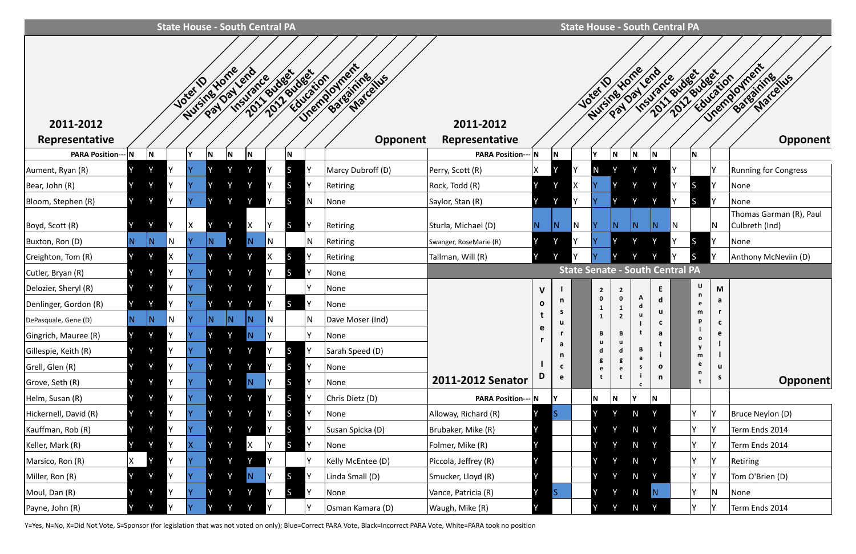|                                      |    |     |   |          |              | <b>State House - South Central PA</b>      |                |                     |              |                                |                                    |                |              |                              |                |        | <b>State House - South Central PA</b>         |     |              |     |                                        |
|--------------------------------------|----|-----|---|----------|--------------|--------------------------------------------|----------------|---------------------|--------------|--------------------------------|------------------------------------|----------------|--------------|------------------------------|----------------|--------|-----------------------------------------------|-----|--------------|-----|----------------------------------------|
| 2011-2012                            |    |     |   | Joter    | Nursine Hom  | 2011 Budget<br>Payland<br><b>Insurance</b> | 2017 Education |                     |              | Unemployment<br>Batastrice Lus | 2011-2012                          |                |              | Nursine Home<br><b>Josef</b> |                |        | Pay Oay lend<br>2011/01/28/18/28<br>Insurance |     | Fiducation   |     | Unemployment<br>Batearnine<br>Marchies |
| Representative                       |    |     |   | v        |              |                                            |                |                     |              | Opponent                       | Representative                     |                |              |                              |                |        |                                               |     |              |     | <b>Opponent</b>                        |
| <b>PARA Position--- N</b>            |    |     |   |          | N<br>$\vee$  | N<br>Y                                     |                | ١N                  |              |                                | <b>PARA Position--</b>             | N              | N            |                              | N  <br>$\vee$  | N      | N                                             |     | N            |     |                                        |
| Aument, Ryan (R)                     |    |     |   |          |              |                                            |                | <sub>S</sub>        |              | Marcy Dubroff (D)              | Perry, Scott (R)                   | X              |              | N                            |                |        |                                               |     |              |     | <b>Running for Congress</b>            |
| Bear, John (R)<br>Bloom, Stephen (R) |    |     |   |          | $\checkmark$ |                                            |                | S.<br>$\mathcal{L}$ | N            | Retiring<br>None               | Rock, Todd (R)<br>Saylor, Stan (R) |                | $\vee$       |                              |                |        |                                               |     |              |     | None<br>None                           |
|                                      |    |     |   |          |              |                                            |                |                     |              |                                |                                    |                |              |                              |                |        |                                               |     |              |     | Thomas Garman (R), Paul                |
| Boyd, Scott (R)                      |    |     |   |          |              |                                            |                | S.                  | v            | Retiring                       | Sturla, Michael (D)                | $\overline{N}$ | ΙN           |                              |                |        |                                               | IN. |              | ΙN. | Culbreth (Ind)                         |
| Buxton, Ron (D)                      | N. | IN. | N |          |              | N                                          | N              |                     | N            | Retiring                       | Swanger, RoseMarie (R)             |                | $\checkmark$ |                              |                |        | $\checkmark$                                  |     |              |     | None                                   |
| Creighton, Tom (R)                   |    |     | Χ |          | $\vee$       | $\checkmark$                               | $\mathsf{X}^-$ | <sub>S</sub>        |              | Retiring                       | Tallman, Will (R)                  | Y              |              |                              |                |        |                                               |     | IS.          |     | Anthony McNeviin (D)                   |
| Cutler, Bryan (R)                    |    |     |   |          | v            |                                            |                | <sub>S</sub>        | v            | None                           |                                    |                |              |                              |                |        | <b>State Senate - South Central PA</b>        |     |              |     |                                        |
| Delozier, Sheryl (R)                 |    |     |   |          | V            |                                            |                |                     |              | None                           |                                    | $\mathsf{V}$   |              | $\overline{2}$               |                |        | E                                             |     | $\sf U$<br>n | M   |                                        |
| Denlinger, Gordon (R)                |    |     |   |          | $\checkmark$ |                                            |                | S.                  |              | None                           |                                    | $\mathbf{o}$   | n<br>S       | 0<br>-1                      | 0              | d      | d<br>u                                        |     | e<br>m       | a   |                                        |
| DePasquale, Gene (D)                 | N. | N   | N | <b>Y</b> | IN.          | IN.                                        |                |                     | IN.          | Dave Moser (Ind)               |                                    | t<br>e         |              | 1                            | $\overline{2}$ | u      | <b>C</b>                                      |     | p            |     |                                        |
| Gingrich, Mauree (R)                 | Y  |     |   | IY.      | Y            | N.                                         |                |                     | $\checkmark$ | None                           |                                    |                |              | B<br>u                       | B<br>u         |        | a                                             |     | $\mathbf{o}$ | e   |                                        |
| Gillespie, Keith (R)                 |    |     |   |          |              |                                            |                | <b>S</b>            |              | Sarah Speed (D)                |                                    |                | a<br>n       | d                            | d              | B<br>a |                                               |     | y<br>m       |     |                                        |
| Grell, Glen (R)                      |    |     |   |          |              |                                            |                | S                   |              | None                           |                                    |                | C            | g<br>e                       |                | S.     | $\mathbf{o}$                                  |     | e<br>n       | u   |                                        |
| Grove, Seth (R)                      |    |     |   |          |              | N,                                         |                | S.                  |              | None                           | 2011-2012 Senator                  |                | e            | t                            |                |        | n                                             |     |              | S.  | Opponent                               |
| Helm, Susan (R)                      |    |     |   |          |              |                                            |                | $\mathcal{L}$       |              | Chris Dietz (D)                | <b>PARA Position--- N</b>          |                | İΥ           | N                            | N              |        | N                                             |     |              |     |                                        |
| Hickernell, David (R)                |    |     |   |          |              |                                            |                | <sub>S</sub>        |              | None                           | Alloway, Richard (R)               |                | IS           |                              |                | N      | Y                                             |     | Y            |     | Bruce Neylon (D)                       |
| Kauffman, Rob (R)                    |    |     |   |          |              |                                            |                | <sub>S</sub>        |              | Susan Spicka (D)               | Brubaker, Mike (R)                 |                |              |                              |                | N      | $\checkmark$                                  |     |              |     | Term Ends 2014                         |
| Keller, Mark (R)                     | Y  |     | Y | ΙX       | V            | X                                          |                | <sub>S</sub>        | v            | None                           | Folmer, Mike (R)                   |                |              | lΥ                           |                | N      | Y                                             |     | γ            |     | Term Ends 2014                         |
| Marsico, Ron (R)                     | X  |     |   | IY       |              |                                            | Υ              |                     | Υ            | Kelly McEntee (D)              | Piccola, Jeffrey (R)               |                |              |                              |                | N      | v                                             |     | Y            |     | <b>Retiring</b>                        |
| Miller, Ron (R)                      |    |     |   |          | $\vee$       | N                                          |                | <sub>S</sub>        |              | Linda Small (D)                | Smucker, Lloyd (R)                 |                |              |                              |                | N      |                                               |     | Y            |     | Tom O'Brien (D)                        |
| Moul, Dan (R)                        |    |     |   |          | Y            | Y                                          |                | <b>S</b>            | Y            | None                           | Vance, Patricia (R)                |                |              |                              |                | N      | N                                             |     |              | N   | None                                   |
| Payne, John (R)                      |    |     |   |          |              |                                            |                |                     |              | Osman Kamara (D)               | Waugh, Mike (R)                    |                |              |                              |                |        |                                               |     |              |     | Term Ends 2014                         |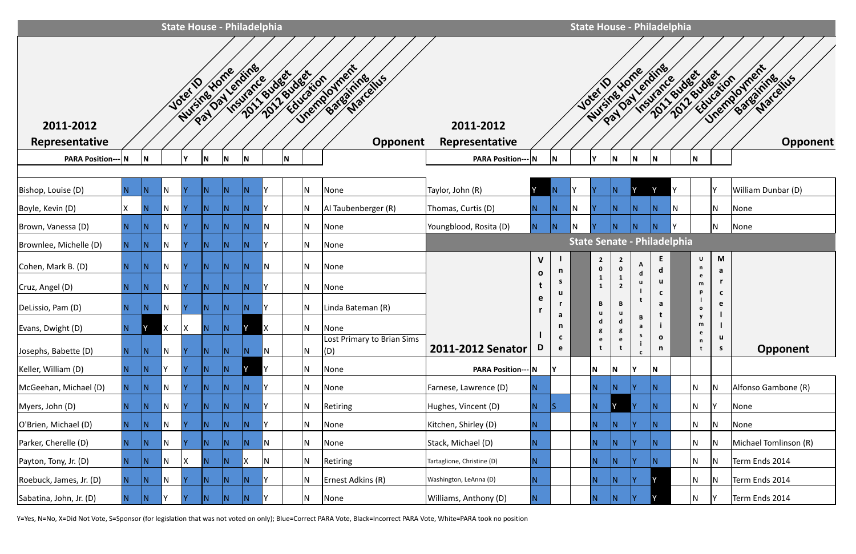|                           | <b>State House - Philadelphia</b> |                         |     |              |     |                                |                         |                     |   |     |                                                  |                            |                             |                   | <b>State House - Philadelphia</b>  |                     |                                |                                  |                   |   |                   |                             |                                           |
|---------------------------|-----------------------------------|-------------------------|-----|--------------|-----|--------------------------------|-------------------------|---------------------|---|-----|--------------------------------------------------|----------------------------|-----------------------------|-------------------|------------------------------------|---------------------|--------------------------------|----------------------------------|-------------------|---|-------------------|-----------------------------|-------------------------------------------|
| 2011-2012                 |                                   |                         |     | <b>Jotel</b> |     | Nursing Yorke<br>Paylon Lendin | Insurance               |                     |   |     | 2011/01/2010 rion de la Chiese<br>Bateatrice lus | 2011-2012                  |                             |                   |                                    | <b>Josef</b>        | Paylaxientine<br>Nursine Yone  | Insurance                        |                   |   |                   |                             | 2011/2010/2010 VIDENCE<br>Bateauxires IVS |
| <b>Representative</b>     |                                   |                         |     |              |     |                                |                         |                     |   |     | Opponent                                         | Representative             |                             |                   |                                    |                     |                                |                                  |                   |   |                   |                             | Opponent                                  |
| <b>PARA Position--- N</b> |                                   | İΝ.                     |     | v            | M   | N                              | N                       |                     | N |     |                                                  | <b>PARA Position--- N</b>  |                             | N                 |                                    |                     | N.                             | N                                | N                 |   | N                 |                             |                                           |
| Bishop, Louise (D)        |                                   | $\overline{\mathsf{N}}$ | N   |              |     |                                | $\overline{\mathsf{N}}$ |                     |   | IN. | None                                             | Taylor, John (R)           |                             |                   |                                    |                     |                                |                                  | $\vee$            |   |                   |                             | William Dunbar (D)                        |
| Boyle, Kevin (D)          | X                                 | IN.                     | N   |              | IN. | N                              | $\overline{\mathsf{N}}$ |                     |   | IN. | Al Taubenberger (R)                              | Thomas, Curtis (D)         | IN.                         | N                 | N                                  |                     | ΙN                             | N                                | N                 | N |                   | $\mathsf{N}$                | None                                      |
| Brown, Vanessa (D)        |                                   | N.                      | IN. |              | IN. | N                              | N                       | N                   |   | IN. | None                                             | Youngblood, Rosita (D)     | N.                          | N                 | N                                  |                     | ΙN                             | N                                |                   |   |                   | IN.                         | None                                      |
| Brownlee, Michelle (D)    |                                   | IN.                     | N.  |              | IN. | IN.                            | N                       | v.                  |   | IN. | None                                             |                            |                             |                   | <b>State Senate - Philadelphia</b> |                     |                                |                                  |                   |   |                   |                             |                                           |
| Cohen, Mark B. (D)        | N.                                | IN.                     | IN. |              | IN. | N                              | N                       | N.                  |   | IN. | None                                             |                            | $\mathsf{V}$                | n                 |                                    | $\overline{2}$<br>0 | $\overline{2}$<br>$\mathbf{0}$ | A<br>$\operatorname{\mathsf{d}}$ | E.<br>d           |   | U<br>n            | M<br>a                      |                                           |
| Cruz, Angel (D)           |                                   | IN.                     | IN. |              | IN. | IN.                            | IN.                     | Y.                  |   | N   | None                                             |                            | $\mathbf{o}$<br>$\mathbf t$ | S<br>u            |                                    | $\mathbf{1}$        | $\overline{2}$                 | u                                | u<br>$\mathbf{c}$ |   | e<br>m<br>p       | $\mathbf{r}$<br>$\mathbf c$ |                                           |
| DeLissio, Pam (D)         |                                   | IN.                     | IN. |              | IN. | IN.                            | N                       |                     |   | N   | Linda Bateman (R)                                |                            | e                           |                   |                                    | B                   | B                              |                                  | a                 |   | $\mathbf{o}$      | e                           |                                           |
| Evans, Dwight (D)         |                                   |                         |     | X            | IN. | IN.                            | IY.                     | $\mathsf{I} \times$ |   | IN. | None                                             |                            |                             | a<br>n.           |                                    | a<br>5              | d<br>ំ                         | B<br>a                           | t                 |   | y<br>m<br>e       |                             |                                           |
| Josephs, Babette (D)      | N.                                | IN.                     | IN. |              | IN. | N                              | N                       | IN.                 |   | N   | Lost Primary to Brian Sims<br>$\vert$ (D)        | 2011-2012 Senator          | D                           | $\mathbf{c}$<br>e |                                    | e<br>t              | e                              | s                                | $\mathbf{o}$<br>n |   | $\mathsf{n}$<br>t | u<br>S                      | Opponent                                  |
| Keller, William (D)       |                                   | ΙN                      |     |              | N   | IN.                            |                         |                     |   | IN. | None                                             | <b>PARA Position--- N</b>  |                             | l۷                |                                    | N                   | N.                             |                                  | N                 |   |                   |                             |                                           |
| McGeehan, Michael (D)     |                                   | IN.                     | IN. |              | N.  | N                              | N)                      |                     |   | IN. | None                                             | Farnese, Lawrence (D)      | N.                          |                   |                                    | IN.                 |                                |                                  |                   |   | N                 | N                           | Alfonso Gambone (R)                       |
| Myers, John (D)           |                                   | N)                      | IN. |              | IN. | N                              | N                       |                     |   | N   | Retiring                                         | Hughes, Vincent (D)        | IN.                         | IS                |                                    | N.                  |                                |                                  | N                 |   | N                 |                             | None                                      |
| O'Brien, Michael (D)      |                                   | N.                      | N   |              | N.  | IN.                            | N                       |                     |   | IN. | None                                             | Kitchen, Shirley (D)       | IN.                         |                   |                                    | $\overline{N}$      | 'N                             |                                  |                   |   | N                 | IN.                         | None                                      |
| Parker, Cherelle (D)      | N.                                | IN.                     | IN. |              | IN. | N                              | N                       | N.                  |   | IN. | None                                             | Stack, Michael (D)         |                             |                   |                                    | IN.                 | ΙN                             |                                  | ΙN                |   | N                 | N                           | Michael Tomlinson (R)                     |
| Payton, Tony, Jr. (D)     | N.                                | IN.                     | IN. |              | IN. | IN.                            | IX.                     | IN.                 |   | IN. | Retiring                                         | Tartaglione, Christine (D) | N.                          |                   |                                    | N.                  | IN                             |                                  |                   |   | N                 | ΙN.                         | Term Ends 2014                            |
| Roebuck, James, Jr. (D)   |                                   | N.                      | IN. |              |     |                                | N)                      |                     |   | IN. | Ernest Adkins (R)                                | Washington, LeAnna (D)     |                             |                   |                                    | IN.                 |                                |                                  |                   |   | N                 | ΙN                          | Term Ends 2014                            |
| Sabatina, John, Jr. (D)   |                                   | IN.                     |     |              |     |                                | $\overline{\mathsf{N}}$ |                     |   | N   | None                                             | Williams, Anthony (D)      | IN.                         |                   |                                    | IN.                 |                                |                                  |                   |   | N                 |                             | Term Ends 2014                            |

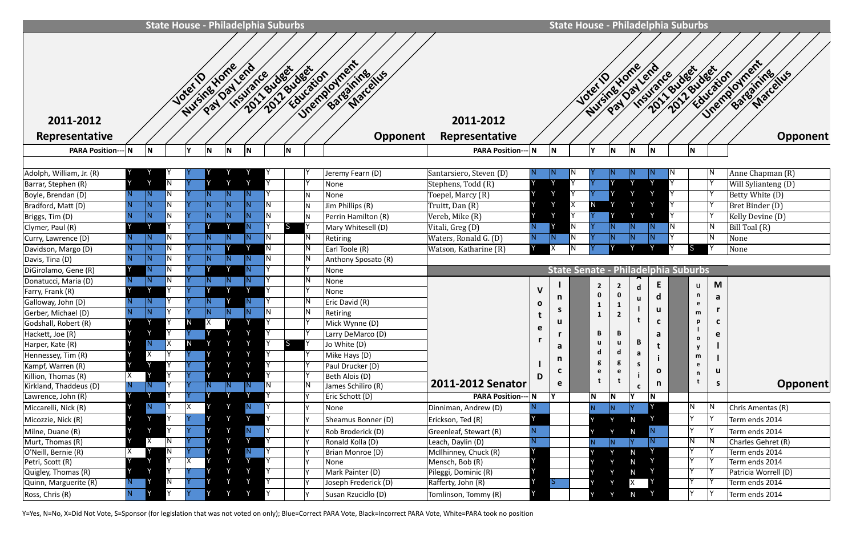|                             |     |              |    |                        |                         |     | <b>State House - Philadelphia Suburbs</b> |           |                     |                                           |                             |              |    |     |                | <b>State House - Philadelphia Suburbs</b>  |     |              |                               |                          |    |                                                            |
|-----------------------------|-----|--------------|----|------------------------|-------------------------|-----|-------------------------------------------|-----------|---------------------|-------------------------------------------|-----------------------------|--------------|----|-----|----------------|--------------------------------------------|-----|--------------|-------------------------------|--------------------------|----|------------------------------------------------------------|
| 2011-2012<br>Representative |     |              |    | Nursing Yorke<br>Joter |                         |     | Payland<br>Insurance                      |           | 2011/01/2010 ration | Unemployment<br>Bateannicenus<br>Opponent | 2011-2012<br>Representative |              |    |     | Josef 1        | Nursing Yorke<br>Pay Day Lend              |     | Insurance    | 2012 sudeetion<br>2011 Budget |                          |    | Unemployment<br>Bateatring<br>Marcellus<br><b>Opponent</b> |
| <b>PARA Position-</b>       |     |              |    |                        |                         |     |                                           |           |                     |                                           | <b>PARA Position--- N</b>   |              |    |     |                |                                            |     |              |                               |                          |    |                                                            |
|                             |     | N            |    |                        | ١N                      |     |                                           |           |                     |                                           |                             |              |    |     |                |                                            | N   |              |                               |                          |    |                                                            |
| Adolph, William, Jr. (R)    |     |              |    |                        |                         |     |                                           |           |                     | Jeremy Fearn (D)                          | Santarsiero, Steven (D)     |              |    |     |                |                                            |     |              |                               |                          |    | Anne Chapman (R)                                           |
| Barrar, Stephen (R)         |     | $\checkmark$ | N  |                        |                         |     |                                           |           | l۷                  | None                                      | Stephens, Todd (R)          |              |    |     |                |                                            |     |              |                               |                          |    | $\sqrt{\text{Will S}}$ ylianteng (D)                       |
| Boyle, Brendan (D)          |     | N            |    |                        |                         |     |                                           |           | İΝ                  | None                                      | Toepel, Marcy (R)           |              |    |     |                |                                            |     |              |                               |                          |    | Betty White (D)                                            |
| Bradford, Matt (D)          |     | N.           | N  |                        | $\overline{\mathsf{N}}$ |     | IN                                        |           | İΝ                  | Jim Phillips (R)                          | Truitt, Dan (R)             |              |    |     |                |                                            |     |              |                               |                          |    | Bret Binder (D)                                            |
| Briggs, Tim (D)             |     | N            |    |                        | N                       |     |                                           |           | IN.                 | Perrin Hamilton (R)                       | Vereb, Mike (R)             |              |    |     |                |                                            |     |              |                               |                          |    | Kelly Devine (D)                                           |
| Clymer, Paul (R)            |     |              |    |                        |                         |     |                                           | <b>IS</b> |                     | Mary Whitesell (D)                        | Vitali, Greg (D)            |              |    | Ν   |                |                                            |     |              | IN.                           |                          |    | Bill Toal (R)                                              |
| Curry, Lawrence (D)         |     | N            |    |                        |                         |     |                                           |           | IN                  | Retiring                                  | Waters, Ronald G. (D)       |              |    | IN. |                |                                            |     |              |                               |                          |    | None                                                       |
| Davidson, Margo (D)         |     | N            |    |                        |                         |     | $\vee$                                    |           | I٨                  | Earl Toole (R)                            | Watson, Katharine (R)       |              |    |     |                |                                            |     |              |                               |                          |    | None                                                       |
| Davis, Tina (D)             |     | N            | N  |                        |                         |     |                                           |           | IN                  | Anthony Sposato (R)                       |                             |              |    |     |                |                                            |     |              |                               |                          |    |                                                            |
| DiGirolamo, Gene (R)        |     |              |    |                        |                         |     |                                           |           |                     | None                                      |                             |              |    |     |                | <b>State Senate - Philadelphia Suburbs</b> |     |              |                               |                          |    |                                                            |
| Donatucci, Maria (D)        |     | N            |    |                        |                         |     |                                           |           | IN                  | None                                      |                             |              |    |     |                |                                            |     | E            |                               |                          | M  |                                                            |
| Farry, Frank (R)            |     |              |    |                        |                         |     |                                           |           |                     | None                                      |                             | V            |    |     | $\overline{2}$ | $\overline{2}$                             |     |              |                               | U<br>n                   |    |                                                            |
| Galloway, John (D)          |     | N            |    |                        |                         |     |                                           |           | IN                  | Eric David (R)                            |                             | $\mathbf{o}$ | n  |     |                | $\mathbf{1}$                               |     | d            |                               | e                        | a  |                                                            |
| Gerber, Michael (D)         |     | N            |    |                        |                         |     |                                           |           | I٨                  | Retiring                                  |                             |              | S. |     |                | $\overline{2}$                             |     | u            |                               | m                        |    |                                                            |
| Godshall, Robert (R)        |     |              |    | IN.                    |                         |     |                                           |           |                     | Mick Wynne (D)                            |                             |              | u  |     |                |                                            |     | C            |                               | p                        | C  |                                                            |
| Hackett, Joe (R)            |     |              |    |                        |                         |     |                                           |           | I٢                  | Larry DeMarco (D)                         |                             | e            |    |     | В              |                                            |     | а            |                               |                          | e  |                                                            |
| Harper, Kate (R)            |     | N            | X. | $\mathsf{N}$           |                         |     |                                           | <b>S</b>  |                     | Jo White (D)                              |                             |              | a  |     |                |                                            | В   |              |                               | $\mathbf{o}$<br><b>y</b> |    |                                                            |
| Hennessey, Tim (R)          |     | χ            |    |                        |                         |     |                                           |           | IY                  | Mike Hays (D)                             |                             |              | n  |     |                |                                            | a   |              |                               | m                        |    |                                                            |
| Kampf, Warren (R)           |     | Y            |    |                        |                         |     |                                           |           |                     | Paul Drucker (D)                          |                             |              |    |     |                |                                            | -S  | $\mathbf{o}$ |                               | e                        | u  |                                                            |
| Killion, Thomas (R)         |     |              |    |                        |                         |     |                                           |           |                     | Beth Alois (D)                            |                             | D            |    |     |                |                                            |     |              |                               | n                        |    |                                                            |
| Kirkland, Thaddeus (D)      |     | IN.          |    |                        |                         | JN. | IN.                                       |           |                     | James Schiliro (R)                        | 2011-2012 Senator           |              | e  |     |                |                                            | C   | n            |                               |                          | S. | Opponent                                                   |
| Lawrence, John (R)          |     |              |    |                        |                         |     |                                           |           | ١v                  | Eric Schott (D)                           | <b>PARA Position--- N</b>   |              |    |     | N              | $\mathsf N$                                | ΙY. | N            |                               |                          |    |                                                            |
| Miccarelli, Nick (R)        |     | N.           |    |                        |                         |     | N.                                        |           |                     | None                                      | Dinniman, Andrew (D)        |              |    |     | N.             |                                            |     |              |                               | Ν                        |    | Chris Amentas (R)                                          |
| Micozzie, Nick (R)          |     |              |    |                        |                         |     |                                           |           |                     | Sheamus Bonner (D)                        | Erickson, Ted (R)           |              |    |     |                |                                            | N   |              |                               |                          |    | Term ends 2014                                             |
| Milne, Duane (R)            |     |              |    |                        |                         |     |                                           |           |                     | Rob Broderick (D)                         | Greenleaf, Stewart (R)      |              |    |     |                |                                            | N   |              |                               |                          |    | Term ends 2014                                             |
| Murt, Thomas (R)            |     | χ            |    |                        |                         |     |                                           |           |                     | Ronald Kolla (D)                          | Leach, Daylin (D)           |              |    |     | N.             |                                            | IY. |              |                               |                          |    | Charles Gehret (R)                                         |
| O'Neill, Bernie (R)         |     |              |    |                        |                         |     |                                           |           |                     | Brian Monroe (D)                          | McIlhinney, Chuck (R)       |              |    |     |                |                                            | N   |              |                               |                          |    | Term ends 2014                                             |
| Petri, Scott (R)            |     |              |    |                        |                         |     |                                           |           |                     | None                                      | Mensch, Bob (R)             |              |    |     |                |                                            | N   |              |                               |                          |    | Term ends 2014                                             |
| Quigley, Thomas (R)         |     |              |    |                        |                         |     |                                           |           |                     | Mark Painter (D)                          | Pileggi, Dominic (R)        |              |    |     |                |                                            | N   |              |                               |                          |    | Patricia Worrell (D)                                       |
| Quinn, Marguerite (R)       | IN. |              | N. |                        |                         |     |                                           |           |                     | Joseph Frederick (D)                      | Rafferty, John (R)          |              | S. |     |                |                                            | X.  |              |                               |                          |    | Term ends 2014                                             |
| Ross, Chris (R)             |     |              |    |                        |                         |     |                                           |           | I٧                  | Susan Rzucidlo (D)                        | Tomlinson, Tommy (R)        |              |    |     |                |                                            | N   |              |                               |                          |    | Term ends 2014                                             |

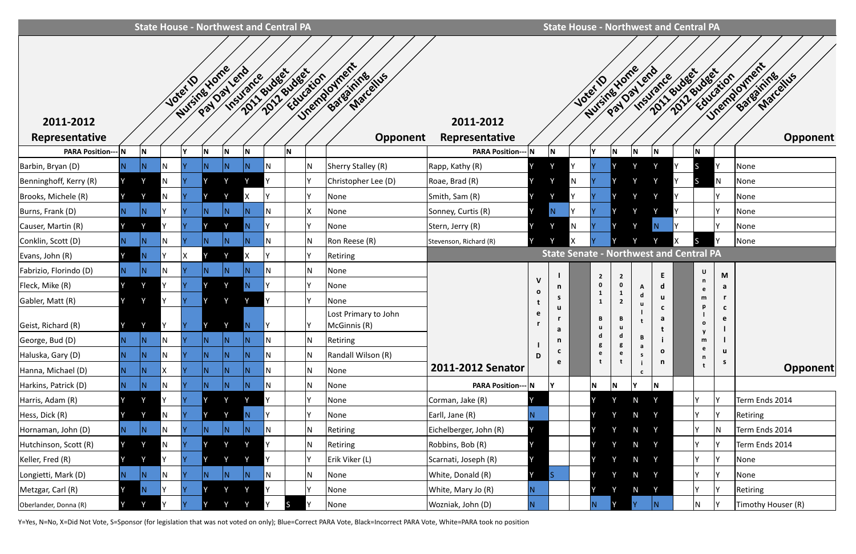|                           |              | <b>State House - Northwest and Central PA</b> |     |                        |   |             |                          |     |             |           |                                         |                           |                   |                   |              |                |              |                          |                   |             | <b>State House - Northwest and Central PA</b>  |         |                                        |
|---------------------------|--------------|-----------------------------------------------|-----|------------------------|---|-------------|--------------------------|-----|-------------|-----------|-----------------------------------------|---------------------------|-------------------|-------------------|--------------|----------------|--------------|--------------------------|-------------------|-------------|------------------------------------------------|---------|----------------------------------------|
| 2011-2012                 |              |                                               |     | Nursines Home<br>Joter |   | Paylor leno | 2011 Budget<br>Insurance |     | 2012 Budget | Education | Unemployment<br>Batearning<br>Marcellus | 2011-2012                 |                   |                   | <b>Josef</b> | Nursine Yome   |              | Paylay leno<br>Insurance |                   | 2011 Budget | 2017 Education                                 |         | Unemployment<br>Batearning<br>Marchies |
| Representative            |              |                                               |     |                        |   |             |                          |     |             |           | <b>Opponent</b>                         | Representative            |                   |                   |              |                |              |                          |                   |             |                                                |         | <b>Opponent</b>                        |
| <b>PARA Position--- N</b> |              | N                                             |     |                        | N | N.          | N.                       |     | <b>N</b>    |           |                                         | <b>PARA Position---</b>   | IN.               | IN.               |              | v              | N            | N                        |                   |             | N                                              |         |                                        |
| Barbin, Bryan (D)         | N.           | N                                             | N   |                        |   | N.          |                          | IN  |             | N         | Sherry Stalley (R)                      | Rapp, Kathy (R)           |                   |                   |              |                |              |                          |                   |             |                                                |         | None                                   |
| Benninghoff, Kerry (R)    |              |                                               | N   |                        |   |             |                          |     |             | v         | Christopher Lee (D)                     | Roae, Brad (R)            |                   |                   |              |                |              |                          |                   |             |                                                | N       | None                                   |
| Brooks, Michele (R)       |              |                                               | N   |                        |   |             |                          |     |             | v         | None                                    | Smith, Sam (R)            | I٧                |                   |              |                |              |                          |                   |             |                                                |         | None                                   |
| Burns, Frank (D)          | N.           | N                                             |     |                        | N | N.          |                          | ΙN  |             |           | None                                    | Sonney, Curtis (R)        |                   | N.                |              |                |              |                          |                   |             |                                                |         | None                                   |
| Causer, Martin (R)        |              |                                               |     |                        |   |             |                          |     |             |           | None                                    | Stern, Jerry (R)          |                   |                   | N            |                |              |                          |                   |             |                                                |         | None                                   |
| Conklin, Scott (D)        | IN.          |                                               |     |                        |   | N.          |                          |     |             | N         | Ron Reese (R)                           | Stevenson, Richard (R)    |                   |                   |              |                |              |                          |                   |             |                                                |         | None                                   |
| Evans, John (R)           |              |                                               |     |                        |   |             |                          |     |             |           | Retiring                                |                           |                   |                   |              |                |              |                          |                   |             | <b>State Senate - Northwest and Central PA</b> |         |                                        |
| Fabrizio, Florindo (D)    | N.           | N                                             | N   |                        |   | N.          |                          | ١N  |             | N         | None                                    |                           |                   |                   |              | $\overline{2}$ | $\mathbf{2}$ |                          | E                 |             | U                                              | M       |                                        |
| Fleck, Mike (R)           |              | $\checkmark$                                  |     |                        |   | $\vee$      |                          |     |             | v         | None                                    |                           | V<br>$\mathbf{o}$ | n                 |              |                | 0            | A                        | d                 |             | n<br>e                                         | a       |                                        |
| Gabler, Matt (R)          |              | $\vee$                                        | Υ   |                        |   |             |                          | ١v  |             | <b>v</b>  | None                                    |                           |                   | S.                |              | 1<br>1         |              | d<br>u                   | u                 |             | m<br>p                                         |         |                                        |
| Geist, Richard (R)        |              |                                               |     |                        |   |             |                          |     |             |           | Lost Primary to John<br>McGinnis (R)    |                           | e                 | a                 |              | B              |              |                          | C<br>a            |             | $\mathbf{o}$                                   | C<br>e  |                                        |
| George, Bud (D)           | N.           | N                                             | N   |                        | N | N.          | N                        | IN. |             | N         | Retiring                                |                           |                   | n                 |              | d<br>g         | g            | В<br>a                   |                   |             | m                                              |         |                                        |
| Haluska, Gary (D)         | N.           | N                                             | N   |                        | N | N.          | N                        | ΙN  |             | N         | Randall Wilson (R)                      |                           | D                 | $\mathbf{c}$<br>e |              | e              | e            | s.                       | $\mathbf{o}$<br>n |             | e<br>n                                         | u<br>S. |                                        |
| Hanna, Michael (D)        | N.           | ΙN                                            | ΙX  |                        |   |             |                          | IN. |             | N         | None                                    | 2011-2012 Senator         |                   |                   |              |                |              |                          |                   |             | t                                              |         | Opponent                               |
| Harkins, Patrick (D)      | N.           | N                                             | N   |                        | N | N.          | ΙN.                      | N   |             | N         | None                                    | <b>PARA Position--- N</b> |                   |                   |              | N              | N            |                          | N                 |             |                                                |         |                                        |
| Harris, Adam (R)          |              | $\vee$                                        | γ   |                        |   | <b>V</b>    |                          | Y   |             |           | None                                    | Corman, Jake (R)          |                   |                   |              |                | Y            | N                        | Y                 |             |                                                |         | Term Ends 2014                         |
| Hess, Dick (R)            |              |                                               | N   |                        |   |             |                          |     |             |           | None                                    | Earll, Jane (R)           |                   |                   |              |                | γ            | $\mathsf N$              | Y                 |             |                                                |         | Retiring                               |
| Hornaman, John (D)        | N.           | N                                             | N   |                        |   | N.          | ΙN                       |     |             | N         | Retiring                                | Eichelberger, John (R)    |                   |                   |              |                | Y            | N                        | <b>Y</b>          |             |                                                | IN.     | Term Ends 2014                         |
| Hutchinson, Scott (R)     |              |                                               | N   |                        |   | v           |                          |     |             | N         | Retiring                                | Robbins, Bob (R)          |                   |                   |              |                | V            | N                        | $\mathsf{v}$      |             |                                                |         | Term Ends 2014                         |
| Keller, Fred (R)          |              | Y                                             | V   |                        |   | $\vee$      |                          | Y   |             | l۷        | Erik Viker (L)                          | Scarnati, Joseph (R)      | IY.               |                   |              |                | Y            | N                        | $\mathsf{Y}$      |             |                                                | IY.     | None                                   |
| Longietti, Mark (D)       | $\mathsf{N}$ | N                                             | IN. |                        | N | N.          | N                        | IN. |             | N         | None                                    | White, Donald (R)         | Y                 | lS                |              |                | Y            | N                        | $\mathsf{Y}$      |             |                                                | IY.     | None                                   |
| Metzgar, Carl (R)         |              |                                               |     |                        |   | <b>V</b>    |                          | Υ   |             |           | None                                    | White, Mary Jo (R)        |                   |                   |              |                |              | $\mathsf{N}$             | $\mathsf{Y}$      |             | Y                                              | IY.     | Retiring                               |
| Oberlander, Donna (R)     | IY.          |                                               |     |                        |   |             |                          |     |             |           | None                                    | Wozniak, John (D)         |                   |                   |              |                |              |                          |                   |             | N                                              |         | Timothy Houser (R)                     |